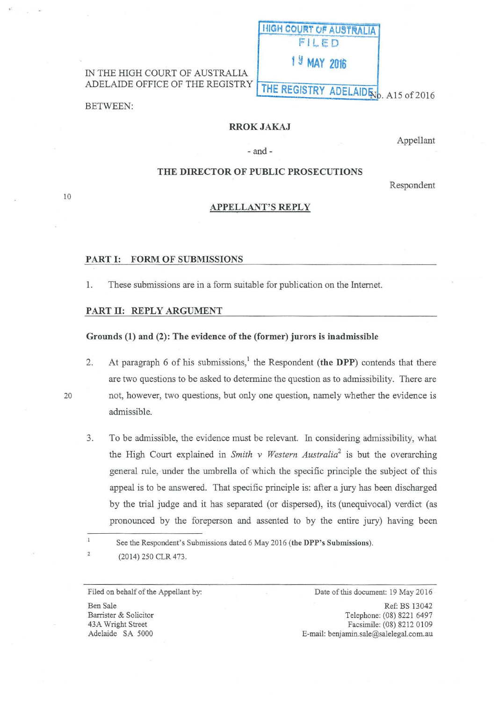# IN THE HIGH COURT OF AUSTRALIA ADELAIDE OFFICE OF THE REGISTRY

BETWEEN:

## RROKJAKAJ

**HIGH COURT OF AUSTRALIA**  $F||F$ 

**1 Y MAY <sup>2016</sup>**

THE REGISTRY ADELAID 50. A15 of 2016

Appellant

# -and-

## THE DIRECTOR OF PUBLIC PROSECUTIONS

Respondent

#### APPELLANT'S REPLY

### PART I: FORM OF SUBMISSIONS

1. These submissions are in a form suitable for publication on the Internet.

#### PART II: REPLY ARGUMENT

## Grounds (1) and (2): The evidence of the (former) jurors is inadmissible

2. At paragraph 6 of his submissions,<sup>1</sup> the Respondent (the DPP) contends that there are two questions to be asked to determine the question as to admissibility. There are 20 not, however, two questions, but only one question, namely whether the evidence is admissible.

3. To be admissible, the evidence must be relevant. In considering admissibility, what the High Court explained in *Smith v Western Australia2* is but the overarching general rule, under the umbrella of which the specific principle the subject of this appeal is to be answered. That specific principle is: after a jury has been discharged by the trial judge and it has separated (or dispersed), its (unequivocal) verdict (as pronounced by the foreperson and assented to by the entire jury) having been

See the Respondent's Submissions dated 6 May 2016 (the DPP's Submissions).

(2014) 250 CLR 473.

Filed on behalf of the Appellant by:

Ben Sale Barrister & Solicitor 43A Wright Street Adelaide SA 5000

Date of this document: 19 May 2016

Ref: BS 13042 Telephone: (08) 8221 6497 Facsimile: (08) 8212 0109 E-mail: benjamin.sale@salelegal.com.au

 $\,1$  $\overline{2}$ 

10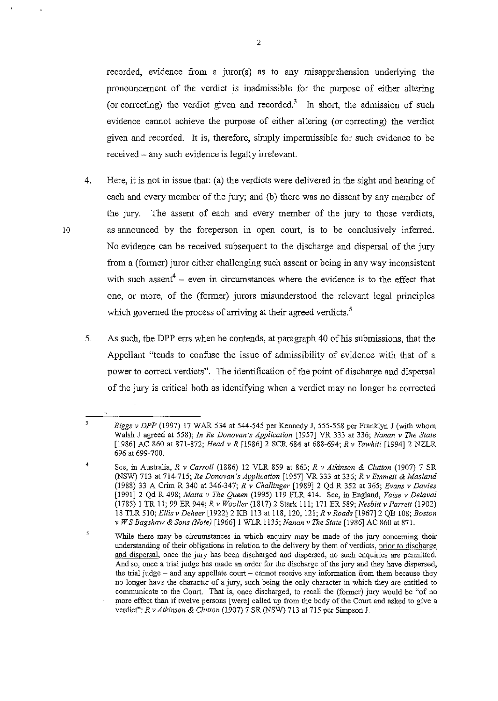recorded, evidence from a juror(s) as to any misapprehension underlying the pronouncement of the verdict is inadmissible for the purpose of either altering (or correcting) the verdict given and recorded.<sup>3</sup> In short, the admission of such evidence cannot achieve the purpose of either altering (or correcting) the verdict given and recorded. It is, therefore, simply impermissible for such evidence to be received- any such evidence is legally irrelevant.

- 4. Here, it is not in issue that: (a) the verdicts were delivered in the sight and hearing of each and every member of the jury; and (b) there was no dissent by any member of the jury. The assent of each and every member of the jury to those verdicts, 10 as announced by the foreperson in open court, is to be conclusively inferred. No evidence can be received subsequent to the discharge and dispersal of the jury from a (former) juror either challenging such assent or being in any way inconsistent with such assent<sup>4</sup> – even in circumstances where the evidence is to the effect that one, or more, of the (former) jurors misunderstood the relevant legal principles which governed the process of arriving at their agreed verdicts.<sup>5</sup>
	- 5. As such, the DPP errs when he contends, at paragraph 40 of his submissions, that the Appellant "tends to confuse the issue of admissibility of evidence with that of a power to correct verdicts". The identification of the point of discharge and dispersal of the jury is critical both as identifying when a verdict may no longer be corrected

 $\overline{\mathbf{3}}$ *Biggs v DPP* (1997) 17 WAR 534 at 544-545 per Kennedy J, 555-558 per Franklyn J (with whom Walsh J agreed at 558); *In Re Donovan's Application* [1957] VR 333 at 336; *Nanan v The State*  [1986] AC 860 at 871-872; *Head v R* [1986] 2 SCR 684 at 688-694; *R v Tawhiti* [1994] 2 NZLR 696 at 699-700.

<sup>4</sup>  See, in Australia, *R v Carroll* (1886) 12 VLR 859 at 863; *R v Atkinson* & *Clutton* (1907) 7 SR (NSW) 713 at 714-715; *Re Donovan's Application* [1957] VR 333 at 336; *R v Emmett* & *Masland*  (1988) 33 A Crim R 340 at 346-347; *R v Challinger* [1989] 2 Qd R 352 at 365; *Evans v Davies*  [1991] 2 Qd R 498; *Matta v The Queen* (1995) 119 FLR 414. See, in Englaud, *Vaise v Delaval*  (1785) I TR 11; 99 ER 944; *R v Woo/ler* (1817) 2 Stark 111; 171 ER 589; *Nesbitt v Parrett* (1902) 18 TLR 510; *Ellis v Deheer* [1922]2 KB 113 at 118, 120, 121; *R v Roads* [1967]2 QB 108; *Boston v W* S *Bagshaw* & *Sons (Note)* [1966] I WLR 1135; *Nanan v The State* [1986] AC 860 at 871.

<sup>5</sup> **While there may be circumstances in which enquiry may be made of the jury concerning their understanding of their obligations in relation to the delivery by them of verdicts, prior to discharge and dispersal, once the jury has been discharged and dispersed, no such enquiries are permitted. And so, once a trial judge has made an order for the discharge of the jury and they have dispersed, the trial judge - and any appellate court - cannot receive any information from them because they no longer have the character of a jury, such being the only character in which they are entitled to communicate to the Court. That is, once discharged, to recall the (former) jury would be "of no**  more effect than if twelve persons [were] called up from the body of the Court and asked to give a verdict": *R v Atkinson* & *C/utton* (1907) 7 SR (NSW) 713 at 715 per Simpson J.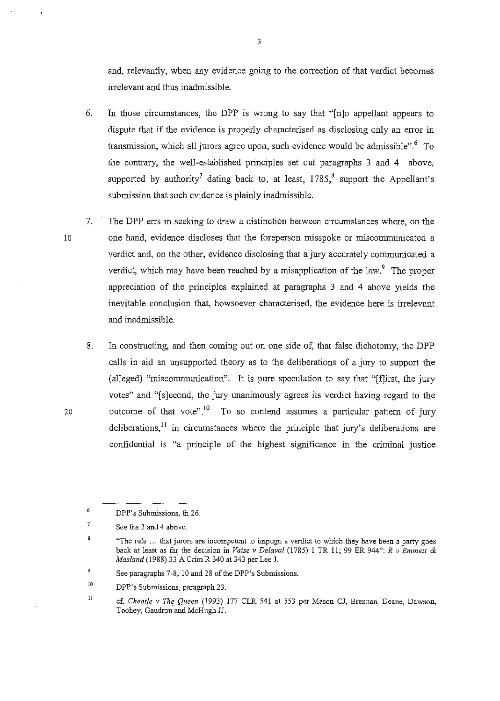and, relevantly, when any evidence going to the correction of that verdict becomes irrelevant and thus inadmissible.

- 6. In those circumstances, the DPP is wTong to say that "[n]o appellant appears to dispute that if the evidence is properly characterised as disclosing only an error in transmission, which all jurors agree upon, such evidence would be admissible".<sup>6</sup> To the contrary, the well-established principles set out paragraphs 3 and 4 above, supported by authority<sup>7</sup> dating back to, at least,  $1785$ <sup>8</sup>, support the Appellant's submission that such evidence is plainly inadmissible.
- 7. The DPP errs in seeking to draw a distinction between circumstances where, on the one hand, evidence discloses that the foreperson misspoke or miscomrnunicated a verdict and, on the other, evidence disclosing that a jury accurately communicated a verdict, which may have been reached by a misapplication of the law.<sup>9</sup> The proper appreciation of the principles explained at paragraphs 3 and 4 above yields the inevitable conclusion that, howsoever characterised, the evidence here is irrelevant and inadmissible.
- 8. In constructing, and then coming out on one side of, that false dichotomy, the DPP calls in aid an unsupported theory as to the deliberations of a jury to support the (alleged) "miscommunication". It is pure speculation to say that "[f]irst, the jury votes" and "[s]econd, the jury unanimously agrees its verdict having regard to the 20 outcome of that vote".<sup>10</sup> To so contend assumes a particular pattern of jury deliberations,<sup>11</sup> in circumstances where the principle that jury's deliberations are confidential is "a principle of the highest significance in the criminal justice

10

<sup>6</sup>  DPP's Submissions, fn 26.

<sup>7</sup>  See fns 3 and 4 above.

 $\boldsymbol{8}$ **"The rule** ... **that jurors are incompetent to impugn a verdict to which they have been a party goes**  back at least as far the decision in *Vaise v Delaval* (1785) 1 TR 11; 99 ER 944": *R v Emmett* & *Masland* (1988) 33 A Crim R 340 at 343 per Lee J.

<sup>9</sup>  See paragraphs 7-8, 10 and 28 of the DPP's Submissions.

lO DPP's Submissions, paragraph 23.

ll cf. *Cheatle v The Queen* (1993) 177 CLR 541 at 553 per Mason CJ, Brennan, Deane, Dawson, Toohey, Gaudron and McHugh JJ.